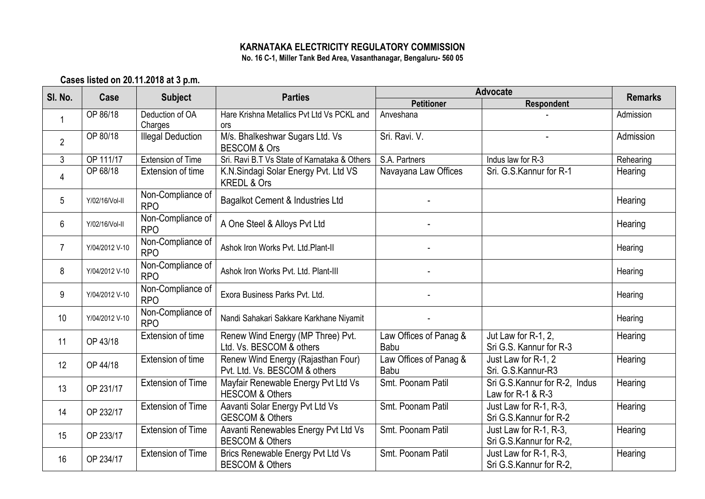## **KARNATAKA ELECTRICITY REGULATORY COMMISSION No. 16 C-1, Miller Tank Bed Area, Vasanthanagar, Bengaluru- 560 05**

**Cases listed on 20.11.2018 at 3 p.m.**

| SI. No.        | Case           | <b>Subject</b>                  | <b>Parties</b>                                                      | <b>Advocate</b>                |                                                    | <b>Remarks</b> |
|----------------|----------------|---------------------------------|---------------------------------------------------------------------|--------------------------------|----------------------------------------------------|----------------|
|                |                |                                 |                                                                     | <b>Petitioner</b>              | <b>Respondent</b>                                  |                |
|                | OP 86/18       | Deduction of OA<br>Charges      | Hare Krishna Metallics Pvt Ltd Vs PCKL and<br>ors                   | Anveshana                      |                                                    | Admission      |
| $\overline{2}$ | OP 80/18       | <b>Illegal Deduction</b>        | M/s. Bhalkeshwar Sugars Ltd. Vs<br><b>BESCOM &amp; Ors</b>          | Sri. Ravi. V.                  |                                                    | Admission      |
| $\mathfrak{Z}$ | OP 111/17      | <b>Extension of Time</b>        | Sri. Ravi B.T Vs State of Karnataka & Others                        | S.A. Partners                  | Indus law for R-3                                  | Rehearing      |
| $\overline{4}$ | OP 68/18       | Extension of time               | K.N.Sindagi Solar Energy Pvt. Ltd VS<br><b>KREDL &amp; Ors</b>      | Navayana Law Offices           | Sri. G.S.Kannur for R-1                            | Hearing        |
| 5              | Y/02/16/Vol-II | Non-Compliance of<br><b>RPO</b> | Bagalkot Cement & Industries Ltd                                    |                                |                                                    | Hearing        |
| 6              | Y/02/16/Vol-II | Non-Compliance of<br><b>RPO</b> | A One Steel & Alloys Pvt Ltd                                        |                                |                                                    | Hearing        |
| $\overline{7}$ | Y/04/2012 V-10 | Non-Compliance of<br><b>RPO</b> | Ashok Iron Works Pvt. Ltd.Plant-II                                  |                                |                                                    | Hearing        |
| 8              | Y/04/2012 V-10 | Non-Compliance of<br><b>RPO</b> | Ashok Iron Works Pvt. Ltd. Plant-III                                |                                |                                                    | Hearing        |
| 9              | Y/04/2012 V-10 | Non-Compliance of<br><b>RPO</b> | Exora Business Parks Pvt. Ltd.                                      |                                |                                                    | Hearing        |
| 10             | Y/04/2012 V-10 | Non-Compliance of<br><b>RPO</b> | Nandi Sahakari Sakkare Karkhane Niyamit                             |                                |                                                    | Hearing        |
| 11             | OP 43/18       | Extension of time               | Renew Wind Energy (MP Three) Pvt.<br>Ltd. Vs. BESCOM & others       | Law Offices of Panag &<br>Babu | Jut Law for R-1, 2,<br>Sri G.S. Kannur for R-3     | Hearing        |
| 12             | OP 44/18       | Extension of time               | Renew Wind Energy (Rajasthan Four)<br>Pvt. Ltd. Vs. BESCOM & others | Law Offices of Panag &<br>Babu | Just Law for R-1, 2<br>Sri. G.S.Kannur-R3          | Hearing        |
| 13             | OP 231/17      | <b>Extension of Time</b>        | Mayfair Renewable Energy Pvt Ltd Vs<br><b>HESCOM &amp; Others</b>   | Smt. Poonam Patil              | Sri G.S.Kannur for R-2, Indus<br>Law for R-1 & R-3 | Hearing        |
| 14             | OP 232/17      | Extension of Time               | Aavanti Solar Energy Pvt Ltd Vs<br><b>GESCOM &amp; Others</b>       | Smt. Poonam Patil              | Just Law for R-1, R-3,<br>Sri G.S.Kannur for R-2   | Hearing        |
| 15             | OP 233/17      | <b>Extension of Time</b>        | Aavanti Renewables Energy Pvt Ltd Vs<br><b>BESCOM &amp; Others</b>  | Smt. Poonam Patil              | Just Law for R-1, R-3,<br>Sri G.S.Kannur for R-2,  | Hearing        |
| 16             | OP 234/17      | <b>Extension of Time</b>        | Brics Renewable Energy Pvt Ltd Vs<br><b>BESCOM &amp; Others</b>     | Smt. Poonam Patil              | Just Law for R-1, R-3,<br>Sri G.S.Kannur for R-2.  | Hearing        |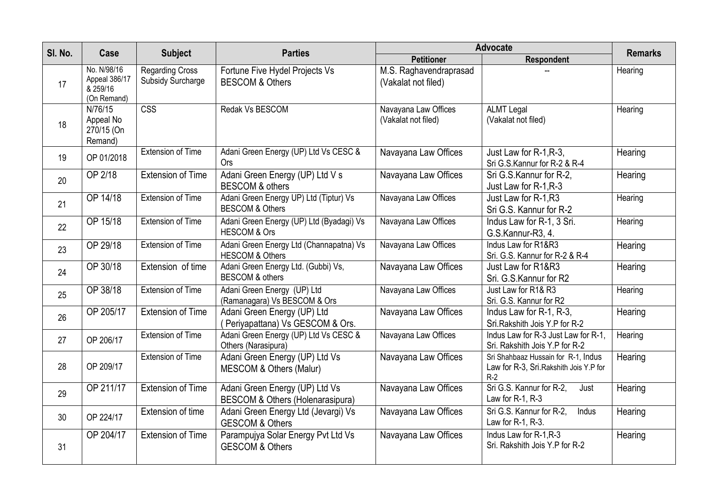| SI. No. | Case                                                    | <b>Subject</b>                                     | <b>Parties</b>                                                        | Advocate                                      |                                                                                         |                |
|---------|---------------------------------------------------------|----------------------------------------------------|-----------------------------------------------------------------------|-----------------------------------------------|-----------------------------------------------------------------------------------------|----------------|
|         |                                                         |                                                    |                                                                       | <b>Petitioner</b>                             | Respondent                                                                              | <b>Remarks</b> |
| 17      | No. N/98/16<br>Appeal 386/17<br>& 259/16<br>(On Remand) | <b>Regarding Cross</b><br><b>Subsidy Surcharge</b> | Fortune Five Hydel Projects Vs<br><b>BESCOM &amp; Others</b>          | M.S. Raghavendraprasad<br>(Vakalat not filed) |                                                                                         | Hearing        |
| 18      | N/76/15<br>Appeal No<br>270/15 (On<br>Remand)           | $\overline{\text{CSS}}$                            | Redak Vs BESCOM                                                       | Navayana Law Offices<br>(Vakalat not filed)   | <b>ALMT Legal</b><br>(Vakalat not filed)                                                | Hearing        |
| 19      | OP 01/2018                                              | <b>Extension of Time</b>                           | Adani Green Energy (UP) Ltd Vs CESC &<br><b>Ors</b>                   | Navayana Law Offices                          | Just Law for R-1, R-3,<br>Sri G.S.Kannur for R-2 & R-4                                  | Hearing        |
| 20      | OP 2/18                                                 | <b>Extension of Time</b>                           | Adani Green Energy (UP) Ltd V s<br><b>BESCOM &amp; others</b>         | Navayana Law Offices                          | Sri G.S.Kannur for R-2,<br>Just Law for R-1, R-3                                        | Hearing        |
| 21      | OP 14/18                                                | <b>Extension of Time</b>                           | Adani Green Energy UP) Ltd (Tiptur) Vs<br><b>BESCOM &amp; Others</b>  | Navayana Law Offices                          | Just Law for R-1, R3<br>Sri G.S. Kannur for R-2                                         | Hearing        |
| 22      | OP 15/18                                                | <b>Extension of Time</b>                           | Adani Green Energy (UP) Ltd (Byadagi) Vs<br><b>HESCOM &amp; Ors</b>   | Navayana Law Offices                          | Indus Law for R-1, 3 Sri.<br>G.S.Kannur-R3, 4.                                          | Hearing        |
| 23      | OP 29/18                                                | Extension of Time                                  | Adani Green Energy Ltd (Channapatna) Vs<br><b>HESCOM &amp; Others</b> | Navayana Law Offices                          | Indus Law for R1&R3<br>Sri. G.S. Kannur for R-2 & R-4                                   | Hearing        |
| 24      | OP 30/18                                                | Extension of time                                  | Adani Green Energy Ltd. (Gubbi) Vs,<br><b>BESCOM &amp; others</b>     | Navayana Law Offices                          | Just Law for R1&R3<br>Sri. G.S. Kannur for R2                                           | Hearing        |
| 25      | OP 38/18                                                | <b>Extension of Time</b>                           | Adani Green Energy (UP) Ltd<br>(Ramanagara) Vs BESCOM & Ors           | Navayana Law Offices                          | Just Law for R1& R3<br>Sri. G.S. Kannur for R2                                          | Hearing        |
| 26      | OP 205/17                                               | <b>Extension of Time</b>                           | Adani Green Energy (UP) Ltd<br>(Periyapattana) Vs GESCOM & Ors.       | Navayana Law Offices                          | Indus Law for R-1, R-3,<br>Sri.Rakshith Jois Y.P for R-2                                | Hearing        |
| 27      | OP 206/17                                               | <b>Extension of Time</b>                           | Adani Green Energy (UP) Ltd Vs CESC &<br>Others (Narasipura)          | Navayana Law Offices                          | Indus Law for R-3 Just Law for R-1,<br>Sri. Rakshith Jois Y.P for R-2                   | Hearing        |
| 28      | OP 209/17                                               | <b>Extension of Time</b>                           | Adani Green Energy (UP) Ltd Vs<br>MESCOM & Others (Malur)             | Navayana Law Offices                          | Sri Shahbaaz Hussain for R-1, Indus<br>Law for R-3, Sri. Rakshith Jois Y.P for<br>$R-2$ | Hearing        |
| 29      | OP 211/17                                               | <b>Extension of Time</b>                           | Adani Green Energy (UP) Ltd Vs<br>BESCOM & Others (Holenarasipura)    | Navayana Law Offices                          | Sri G.S. Kannur for R-2,<br>Just<br>Law for $R-1$ , $R-3$                               | Hearing        |
| 30      | OP 224/17                                               | Extension of time                                  | Adani Green Energy Ltd (Jevargi) Vs<br><b>GESCOM &amp; Others</b>     | Navayana Law Offices                          | Sri G.S. Kannur for R-2,<br>Indus<br>Law for R-1, R-3.                                  | Hearing        |
| 31      | OP 204/17                                               | <b>Extension of Time</b>                           | Parampujya Solar Energy Pvt Ltd Vs<br><b>GESCOM &amp; Others</b>      | Navayana Law Offices                          | Indus Law for R-1, R-3<br>Sri. Rakshith Jois Y.P for R-2                                | Hearing        |